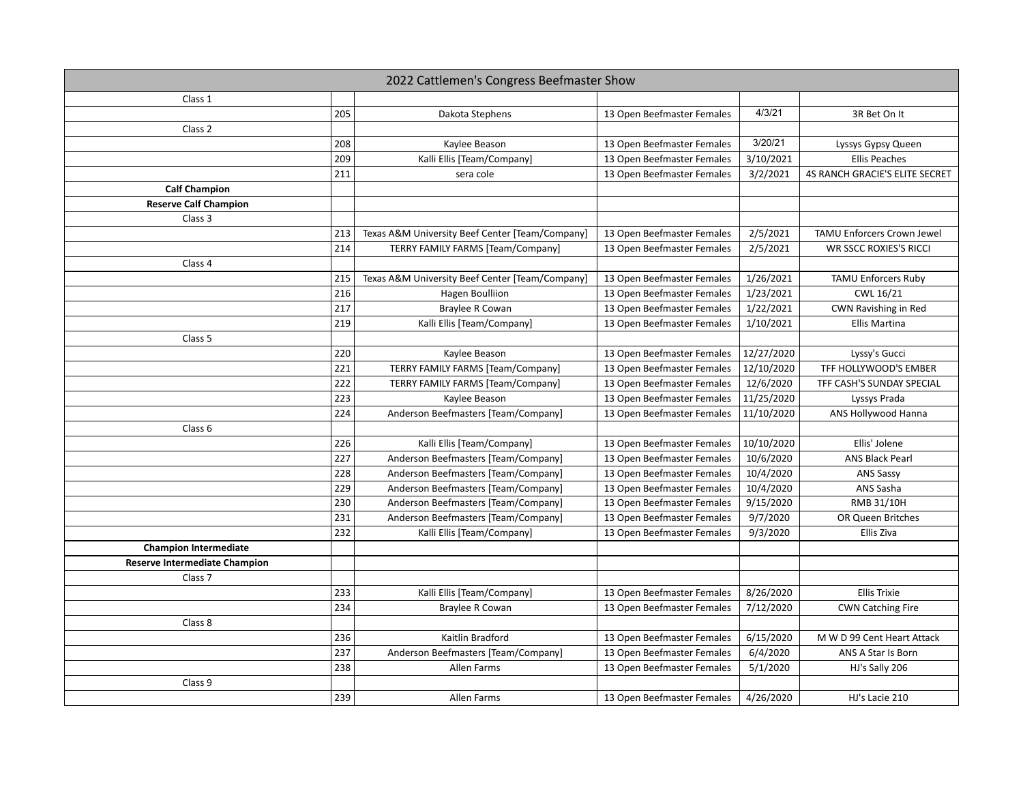| 2022 Cattlemen's Congress Beefmaster Show |     |                                                 |                            |            |                                |
|-------------------------------------------|-----|-------------------------------------------------|----------------------------|------------|--------------------------------|
| Class 1                                   |     |                                                 |                            |            |                                |
|                                           | 205 | Dakota Stephens                                 | 13 Open Beefmaster Females | 4/3/21     | 3R Bet On It                   |
| Class 2                                   |     |                                                 |                            |            |                                |
|                                           | 208 | Kaylee Beason                                   | 13 Open Beefmaster Females | 3/20/21    | Lyssys Gypsy Queen             |
|                                           | 209 | Kalli Ellis [Team/Company]                      | 13 Open Beefmaster Females | 3/10/2021  | <b>Ellis Peaches</b>           |
|                                           | 211 | sera cole                                       | 13 Open Beefmaster Females | 3/2/2021   | 4S RANCH GRACIE'S ELITE SECRET |
| <b>Calf Champion</b>                      |     |                                                 |                            |            |                                |
| <b>Reserve Calf Champion</b>              |     |                                                 |                            |            |                                |
| Class 3                                   |     |                                                 |                            |            |                                |
|                                           | 213 | Texas A&M University Beef Center [Team/Company] | 13 Open Beefmaster Females | 2/5/2021   | TAMU Enforcers Crown Jewel     |
|                                           | 214 | <b>TERRY FAMILY FARMS [Team/Company]</b>        | 13 Open Beefmaster Females | 2/5/2021   | <b>WR SSCC ROXIES'S RICCI</b>  |
| Class 4                                   |     |                                                 |                            |            |                                |
|                                           | 215 | Texas A&M University Beef Center [Team/Company] | 13 Open Beefmaster Females | 1/26/2021  | <b>TAMU Enforcers Ruby</b>     |
|                                           | 216 | Hagen Boulliion                                 | 13 Open Beefmaster Females | 1/23/2021  | CWL 16/21                      |
|                                           | 217 | <b>Braylee R Cowan</b>                          | 13 Open Beefmaster Females | 1/22/2021  | CWN Ravishing in Red           |
|                                           | 219 | Kalli Ellis [Team/Company]                      | 13 Open Beefmaster Females | 1/10/2021  | Ellis Martina                  |
| Class 5                                   |     |                                                 |                            |            |                                |
|                                           | 220 | Kaylee Beason                                   | 13 Open Beefmaster Females | 12/27/2020 | Lyssy's Gucci                  |
|                                           | 221 | <b>TERRY FAMILY FARMS [Team/Company]</b>        | 13 Open Beefmaster Females | 12/10/2020 | TFF HOLLYWOOD'S EMBER          |
|                                           | 222 | <b>TERRY FAMILY FARMS [Team/Company]</b>        | 13 Open Beefmaster Females | 12/6/2020  | TFF CASH'S SUNDAY SPECIAL      |
|                                           | 223 | Kaylee Beason                                   | 13 Open Beefmaster Females | 11/25/2020 | Lyssys Prada                   |
|                                           | 224 | Anderson Beefmasters [Team/Company]             | 13 Open Beefmaster Females | 11/10/2020 | ANS Hollywood Hanna            |
| Class 6                                   |     |                                                 |                            |            |                                |
|                                           | 226 | Kalli Ellis [Team/Company]                      | 13 Open Beefmaster Females | 10/10/2020 | Ellis' Jolene                  |
|                                           | 227 | Anderson Beefmasters [Team/Company]             | 13 Open Beefmaster Females | 10/6/2020  | <b>ANS Black Pearl</b>         |
|                                           | 228 | Anderson Beefmasters [Team/Company]             | 13 Open Beefmaster Females | 10/4/2020  | ANS Sassy                      |
|                                           | 229 | Anderson Beefmasters [Team/Company]             | 13 Open Beefmaster Females | 10/4/2020  | ANS Sasha                      |
|                                           | 230 | Anderson Beefmasters [Team/Company]             | 13 Open Beefmaster Females | 9/15/2020  | RMB 31/10H                     |
|                                           | 231 | Anderson Beefmasters [Team/Company]             | 13 Open Beefmaster Females | 9/7/2020   | OR Queen Britches              |
|                                           | 232 | Kalli Ellis [Team/Company]                      | 13 Open Beefmaster Females | 9/3/2020   | Ellis Ziva                     |
| <b>Champion Intermediate</b>              |     |                                                 |                            |            |                                |
| <b>Reserve Intermediate Champion</b>      |     |                                                 |                            |            |                                |
| Class <sub>7</sub>                        |     |                                                 |                            |            |                                |
|                                           | 233 | Kalli Ellis [Team/Company]                      | 13 Open Beefmaster Females | 8/26/2020  | <b>Ellis Trixie</b>            |
|                                           | 234 | Braylee R Cowan                                 | 13 Open Beefmaster Females | 7/12/2020  | <b>CWN Catching Fire</b>       |
| Class 8                                   |     |                                                 |                            |            |                                |
|                                           | 236 | Kaitlin Bradford                                | 13 Open Beefmaster Females | 6/15/2020  | M W D 99 Cent Heart Attack     |
|                                           | 237 | Anderson Beefmasters [Team/Company]             | 13 Open Beefmaster Females | 6/4/2020   | ANS A Star Is Born             |
|                                           | 238 | Allen Farms                                     | 13 Open Beefmaster Females | 5/1/2020   | HJ's Sally 206                 |
| Class 9                                   |     |                                                 |                            |            |                                |
|                                           | 239 | Allen Farms                                     | 13 Open Beefmaster Females | 4/26/2020  | HJ's Lacie 210                 |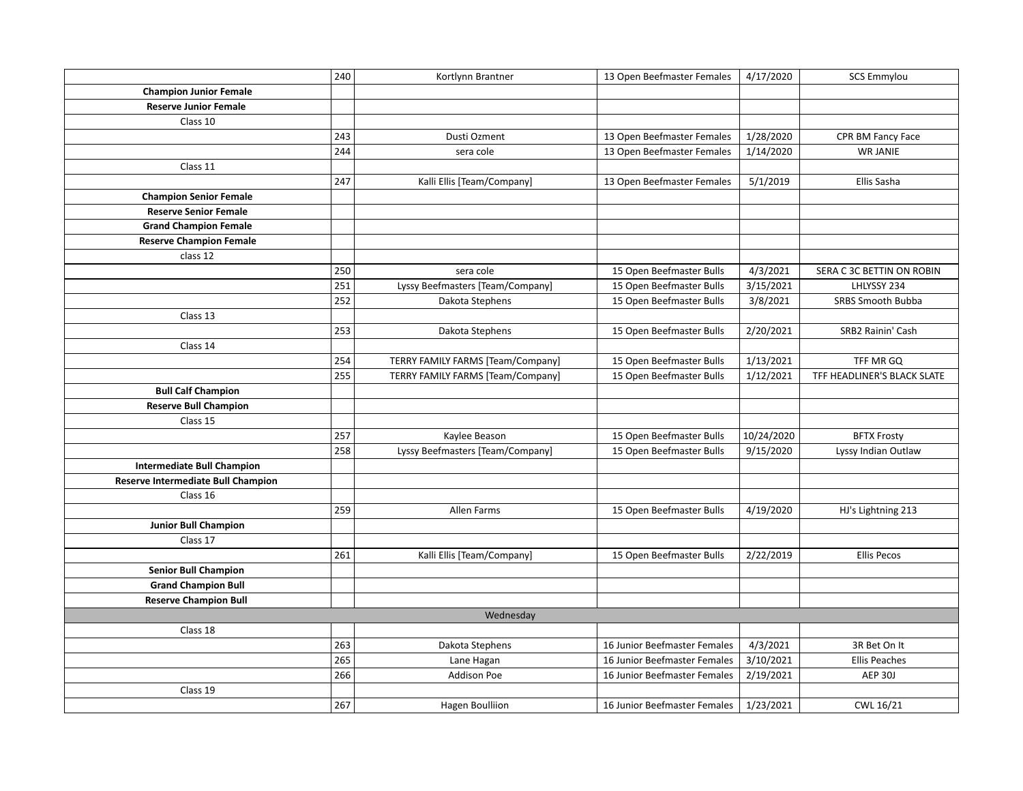|                                           | 240 | Kortlynn Brantner                        | 13 Open Beefmaster Females   | 4/17/2020  | <b>SCS Emmylou</b>          |
|-------------------------------------------|-----|------------------------------------------|------------------------------|------------|-----------------------------|
| <b>Champion Junior Female</b>             |     |                                          |                              |            |                             |
| <b>Reserve Junior Female</b>              |     |                                          |                              |            |                             |
| Class 10                                  |     |                                          |                              |            |                             |
|                                           | 243 | Dusti Ozment                             | 13 Open Beefmaster Females   | 1/28/2020  | CPR BM Fancy Face           |
|                                           | 244 | sera cole                                | 13 Open Beefmaster Females   | 1/14/2020  | <b>WR JANIE</b>             |
| Class 11                                  |     |                                          |                              |            |                             |
|                                           | 247 | Kalli Ellis [Team/Company]               | 13 Open Beefmaster Females   | 5/1/2019   | Ellis Sasha                 |
| <b>Champion Senior Female</b>             |     |                                          |                              |            |                             |
| <b>Reserve Senior Female</b>              |     |                                          |                              |            |                             |
| <b>Grand Champion Female</b>              |     |                                          |                              |            |                             |
| <b>Reserve Champion Female</b>            |     |                                          |                              |            |                             |
| class 12                                  |     |                                          |                              |            |                             |
|                                           | 250 | sera cole                                | 15 Open Beefmaster Bulls     | 4/3/2021   | SERA C 3C BETTIN ON ROBIN   |
|                                           | 251 | Lyssy Beefmasters [Team/Company]         | 15 Open Beefmaster Bulls     | 3/15/2021  | LHLYSSY 234                 |
|                                           | 252 | Dakota Stephens                          | 15 Open Beefmaster Bulls     | 3/8/2021   | <b>SRBS Smooth Bubba</b>    |
| Class 13                                  |     |                                          |                              |            |                             |
|                                           | 253 | Dakota Stephens                          | 15 Open Beefmaster Bulls     | 2/20/2021  | SRB2 Rainin' Cash           |
| Class 14                                  |     |                                          |                              |            |                             |
|                                           | 254 | <b>TERRY FAMILY FARMS [Team/Company]</b> | 15 Open Beefmaster Bulls     | 1/13/2021  | TFF MR GQ                   |
|                                           | 255 | <b>TERRY FAMILY FARMS [Team/Company]</b> | 15 Open Beefmaster Bulls     | 1/12/2021  | TFF HEADLINER'S BLACK SLATE |
| <b>Bull Calf Champion</b>                 |     |                                          |                              |            |                             |
| <b>Reserve Bull Champion</b>              |     |                                          |                              |            |                             |
| Class 15                                  |     |                                          |                              |            |                             |
|                                           | 257 | Kaylee Beason                            | 15 Open Beefmaster Bulls     | 10/24/2020 | <b>BFTX Frosty</b>          |
|                                           | 258 | Lyssy Beefmasters [Team/Company]         | 15 Open Beefmaster Bulls     | 9/15/2020  | Lyssy Indian Outlaw         |
| <b>Intermediate Bull Champion</b>         |     |                                          |                              |            |                             |
| <b>Reserve Intermediate Bull Champion</b> |     |                                          |                              |            |                             |
| Class 16                                  |     |                                          |                              |            |                             |
|                                           | 259 | Allen Farms                              | 15 Open Beefmaster Bulls     | 4/19/2020  | HJ's Lightning 213          |
| <b>Junior Bull Champion</b>               |     |                                          |                              |            |                             |
| Class 17                                  |     |                                          |                              |            |                             |
|                                           | 261 | Kalli Ellis [Team/Company]               | 15 Open Beefmaster Bulls     | 2/22/2019  | <b>Ellis Pecos</b>          |
| <b>Senior Bull Champion</b>               |     |                                          |                              |            |                             |
| <b>Grand Champion Bull</b>                |     |                                          |                              |            |                             |
| <b>Reserve Champion Bull</b>              |     |                                          |                              |            |                             |
|                                           |     | Wednesday                                |                              |            |                             |
| Class 18                                  |     |                                          |                              |            |                             |
|                                           | 263 | Dakota Stephens                          | 16 Junior Beefmaster Females | 4/3/2021   | 3R Bet On It                |
|                                           | 265 | Lane Hagan                               | 16 Junior Beefmaster Females | 3/10/2021  | <b>Ellis Peaches</b>        |
|                                           | 266 | Addison Poe                              | 16 Junior Beefmaster Females | 2/19/2021  | AEP 30J                     |
| Class 19                                  |     |                                          |                              |            |                             |
|                                           | 267 | <b>Hagen Boulliion</b>                   | 16 Junior Beefmaster Females | 1/23/2021  | CWL 16/21                   |